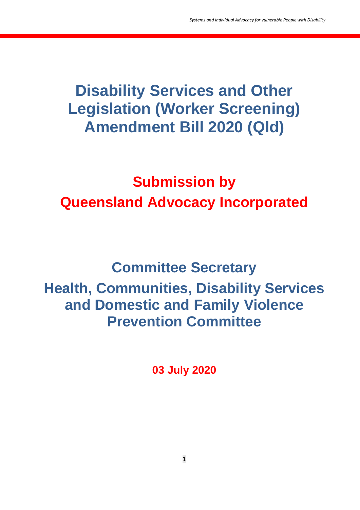## **Disability Services and Other Legislation (Worker Screening) Amendment Bill 2020 (Qld)**

# **Submission by Queensland Advocacy Incorporated**

## **Committee Secretary Health, Communities, Disability Services and Domestic and Family Violence Prevention Committee**

**03 July 2020**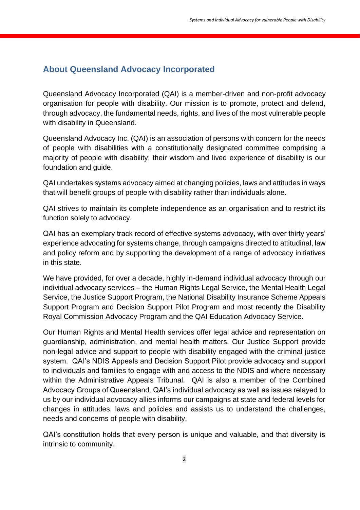## **About Queensland Advocacy Incorporated**

Queensland Advocacy Incorporated (QAI) is a member-driven and non-profit advocacy organisation for people with disability. Our mission is to promote, protect and defend, through advocacy, the fundamental needs, rights, and lives of the most vulnerable people with disability in Queensland.

Queensland Advocacy Inc. (QAI) is an association of persons with concern for the needs of people with disabilities with a constitutionally designated committee comprising a majority of people with disability; their wisdom and lived experience of disability is our foundation and guide.

QAI undertakes systems advocacy aimed at changing policies, laws and attitudes in ways that will benefit groups of people with disability rather than individuals alone.

QAI strives to maintain its complete independence as an organisation and to restrict its function solely to advocacy.

QAI has an exemplary track record of effective systems advocacy, with over thirty years' experience advocating for systems change, through campaigns directed to attitudinal, law and policy reform and by supporting the development of a range of advocacy initiatives in this state.

We have provided, for over a decade, highly in-demand individual advocacy through our individual advocacy services – the Human Rights Legal Service, the Mental Health Legal Service, the Justice Support Program, the National Disability Insurance Scheme Appeals Support Program and Decision Support Pilot Program and most recently the Disability Royal Commission Advocacy Program and the QAI Education Advocacy Service.

Our Human Rights and Mental Health services offer legal advice and representation on guardianship, administration, and mental health matters. Our Justice Support provide non-legal advice and support to people with disability engaged with the criminal justice system. QAI's NDIS Appeals and Decision Support Pilot provide advocacy and support to individuals and families to engage with and access to the NDIS and where necessary within the Administrative Appeals Tribunal. QAI is also a member of the Combined Advocacy Groups of Queensland. QAI's individual advocacy as well as issues relayed to us by our individual advocacy allies informs our campaigns at state and federal levels for changes in attitudes, laws and policies and assists us to understand the challenges, needs and concerns of people with disability.

QAI's constitution holds that every person is unique and valuable, and that diversity is intrinsic to community.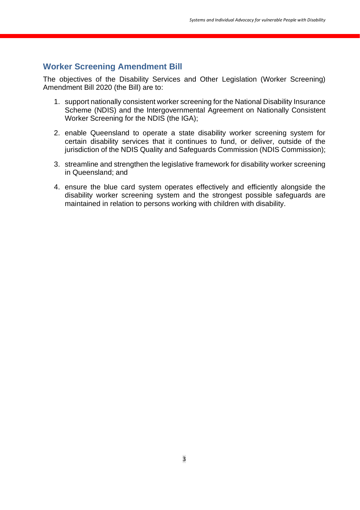#### **Worker Screening Amendment Bill**

The objectives of the Disability Services and Other Legislation (Worker Screening) Amendment Bill 2020 (the Bill) are to:

- 1. support nationally consistent worker screening for the National Disability Insurance Scheme (NDIS) and the Intergovernmental Agreement on Nationally Consistent Worker Screening for the NDIS (the IGA);
- 2. enable Queensland to operate a state disability worker screening system for certain disability services that it continues to fund, or deliver, outside of the jurisdiction of the NDIS Quality and Safeguards Commission (NDIS Commission);
- 3. streamline and strengthen the legislative framework for disability worker screening in Queensland; and
- 4. ensure the blue card system operates effectively and efficiently alongside the disability worker screening system and the strongest possible safeguards are maintained in relation to persons working with children with disability.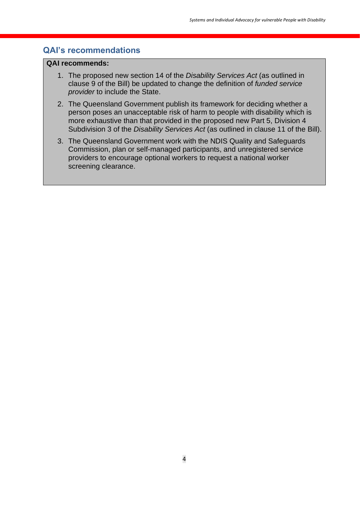#### **QAI's recommendations**

#### **QAI recommends:**

- 1. The proposed new section 14 of the *Disability Services Act* (as outlined in clause 9 of the Bill) be updated to change the definition of *funded service provider* to include the State.
- 2. The Queensland Government publish its framework for deciding whether a person poses an unacceptable risk of harm to people with disability which is more exhaustive than that provided in the proposed new Part 5, Division 4 Subdivision 3 of the *Disability Services Act* (as outlined in clause 11 of the Bill).
- 3. The Queensland Government work with the NDIS Quality and Safeguards Commission, plan or self-managed participants, and unregistered service providers to encourage optional workers to request a national worker screening clearance.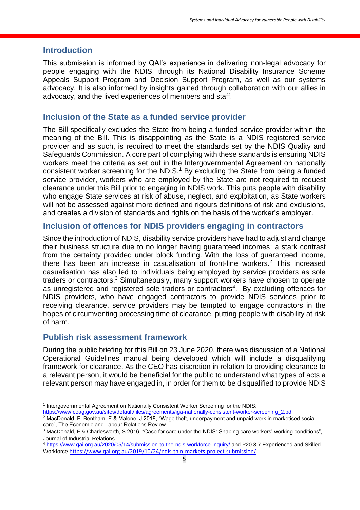#### **Introduction**

This submission is informed by QAI's experience in delivering non-legal advocacy for people engaging with the NDIS, through its National Disability Insurance Scheme Appeals Support Program and Decision Support Program, as well as our systems advocacy. It is also informed by insights gained through collaboration with our allies in advocacy, and the lived experiences of members and staff.

#### **Inclusion of the State as a funded service provider**

The Bill specifically excludes the State from being a funded service provider within the meaning of the Bill. This is disappointing as the State is a NDIS registered service provider and as such, is required to meet the standards set by the NDIS Quality and Safeguards Commission. A core part of complying with these standards is ensuring NDIS workers meet the criteria as set out in the Intergovernmental Agreement on nationally consistent worker screening for the NDIS.<sup>1</sup> By excluding the State from being a funded service provider, workers who are employed by the State are not required to request clearance under this Bill prior to engaging in NDIS work. This puts people with disability who engage State services at risk of abuse, neglect, and exploitation, as State workers will not be assessed against more defined and rigours definitions of risk and exclusions, and creates a division of standards and rights on the basis of the worker's employer.

#### **Inclusion of offences for NDIS providers engaging in contractors**

Since the introduction of NDIS, disability service providers have had to adjust and change their business structure due to no longer having guaranteed incomes; a stark contrast from the certainty provided under block funding. With the loss of guaranteed income, there has been an increase in casualisation of front-line workers.<sup>2</sup> This increased casualisation has also led to individuals being employed by service providers as sole traders or contractors.<sup>3</sup> Simultaneously, many support workers have chosen to operate as unregistered and registered sole traders or contractors<sup>4</sup>. By excluding offences for NDIS providers, who have engaged contractors to provide NDIS services prior to receiving clearance, service providers may be tempted to engage contractors in the hopes of circumventing processing time of clearance, putting people with disability at risk of harm.

### **Publish risk assessment framework**

During the public briefing for this Bill on 23 June 2020, there was discussion of a National Operational Guidelines manual being developed which will include a disqualifying framework for clearance. As the CEO has discretion in relation to providing clearance to a relevant person, it would be beneficial for the public to understand what types of acts a relevant person may have engaged in, in order for them to be disqualified to provide NDIS

[https://www.coag.gov.au/sites/default/files/agreements/iga-nationally-consistent-worker-screening\\_2.pdf](https://www.coag.gov.au/sites/default/files/agreements/iga-nationally-consistent-worker-screening_2.pdf)

<sup>1</sup> Intergovernmental Agreement on Nationally Consistent Worker Screening for the NDIS:

<sup>&</sup>lt;sup>2</sup> MacDonald, F, Bentham, E & Malone, J 2018, "Wage theft, underpayment and unpaid work in marketised social care", The Economic and Labour Relations Review.

<sup>3</sup> MacDonald, F & Charlesworth, S 2016, "Case for care under the NDIS: Shaping care workers' working conditions", Journal of Industrial Relations.

<sup>4</sup> <https://www.qai.org.au/2020/05/14/submission-to-the-ndis-workforce-inquiry/> and P20 3.7 Experienced and Skilled Workforce <https://www.qai.org.au/2019/10/24/ndis-thin-markets-project-submission/>